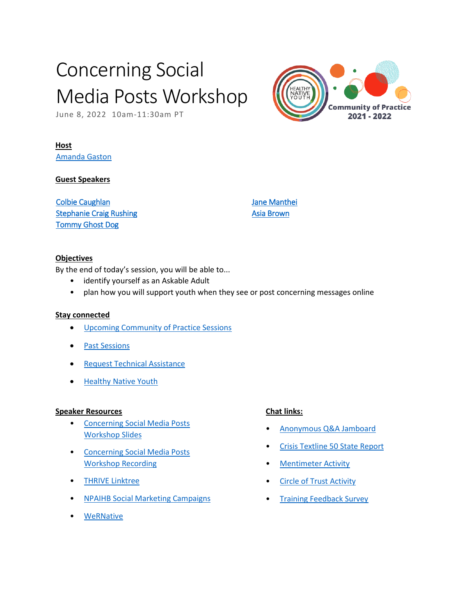# Concerning Social Media Posts Workshop

June 8, 2022 10am-11:30am PT

### **Host**

[Amanda Gaston](mailto:agaston-contractor@npaihb.org) 

#### **Guest Speakers**

[Colbie Caughlan](mailto:ccaughlan@npaihb.org)  [Stephanie Craig Rushing](mailto:scraig@npaihb.org)  [Tommy Ghost Dog](mailto:tghostdog@npaihb.org) 

[Jane Manthei](mailto:jmanthei@npaihb.org)  [Asia Brown](mailto:ambrown@npaihb.org)

#### **Objectives**

By the end of today's session, you will be able to...

- identify yourself as an Askable Adult
- plan how you will support youth when they see or post concerning messages online

#### **Stay connected**

- [Upcoming Community of Practice Sessions](https://www.healthynativeyouth.org/community-of-practice/)
- [Past Sessions](https://www.healthynativeyouth.org/community-of-practice-sessions/)
- [Request Technical Assistance](https://www.healthynativeyouth.org/request/)
- [Healthy Native Youth](https://www.healthynativeyouth.org/)

#### **Speaker Resources**

- [Concerning Social Media Posts](https://www.healthynativeyouth.org/wp-content/uploads/2022/06/Slides_Concerning-Posts-on-SM.pdf%E2%80%9D)  [Workshop Slides](https://www.healthynativeyouth.org/wp-content/uploads/2022/06/Slides_Concerning-Posts-on-SM.pdf%E2%80%9D)
- [Concerning Social Media Posts](https://youtube.com/embed/uxRBeMLg1vQ?start&autoplay=0&controls=1&enablejsapi=1&modestbranding=1&origin=https://www.healthynativeyouth.org&rel=0&showinfo=0&version=3&wmode=transparent)  [Workshop Recording](https://youtube.com/embed/uxRBeMLg1vQ?start&autoplay=0&controls=1&enablejsapi=1&modestbranding=1&origin=https://www.healthynativeyouth.org&rel=0&showinfo=0&version=3&wmode=transparent)
- [THRIVE Linktree](https://linktr.ee/npaihbthrive)
- [NPAIHB Social Marketing Campaigns](https://www.npaihb.org/social-marketing-campaigns/)
- [WeRNative](https://www.wernative.org/)

#### **Chat links:**

- [Anonymous Q&A Jamboard](https://jamboard.google.com/d/1lpeqnUz3XBvZZPwGBU_HA8NQwjBHssMooWeYDtiWRLk/edit?usp=sharing)
- Crisis Textline 50 State Report
- [Mentimeter Activity](https://www.menti.com/cqvcqfoxxt)
- **Circle of Trust Activity**
- [Training Feedback Survey](https://www.healthynativeyouth.org/training_feedback/)

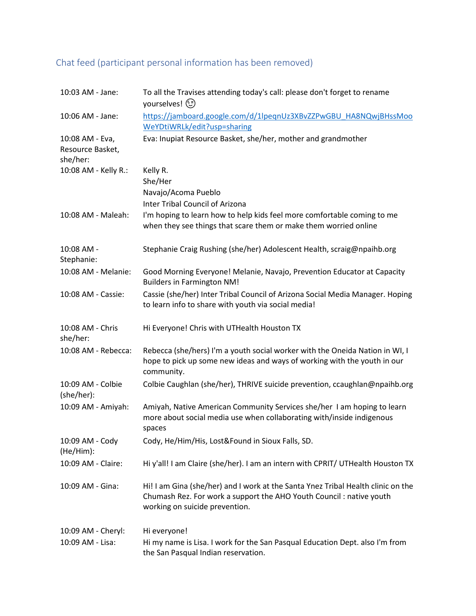## Chat feed (participant personal information has been removed)

| 10:03 AM - Jane:                                | To all the Travises attending today's call: please don't forget to rename<br>yourselves! (1)                                                                                               |
|-------------------------------------------------|--------------------------------------------------------------------------------------------------------------------------------------------------------------------------------------------|
| 10:06 AM - Jane:                                | https://jamboard.google.com/d/1lpeqnUz3XBvZZPwGBU_HA8NQwjBHssMoo<br>WeYDtiWRLk/edit?usp=sharing                                                                                            |
| 10:08 AM - Eva,<br>Resource Basket,<br>she/her: | Eva: Inupiat Resource Basket, she/her, mother and grandmother                                                                                                                              |
| 10:08 AM - Kelly R.:                            | Kelly R.<br>She/Her                                                                                                                                                                        |
|                                                 | Navajo/Acoma Pueblo                                                                                                                                                                        |
|                                                 | <b>Inter Tribal Council of Arizona</b>                                                                                                                                                     |
| 10:08 AM - Maleah:                              | I'm hoping to learn how to help kids feel more comfortable coming to me<br>when they see things that scare them or make them worried online                                                |
| 10:08 AM -<br>Stephanie:                        | Stephanie Craig Rushing (she/her) Adolescent Health, scraig@npaihb.org                                                                                                                     |
| 10:08 AM - Melanie:                             | Good Morning Everyone! Melanie, Navajo, Prevention Educator at Capacity<br><b>Builders in Farmington NM!</b>                                                                               |
| 10:08 AM - Cassie:                              | Cassie (she/her) Inter Tribal Council of Arizona Social Media Manager. Hoping<br>to learn info to share with youth via social media!                                                       |
| 10:08 AM - Chris<br>she/her:                    | Hi Everyone! Chris with UTHealth Houston TX                                                                                                                                                |
| 10:08 AM - Rebecca:                             | Rebecca (she/hers) I'm a youth social worker with the Oneida Nation in WI, I<br>hope to pick up some new ideas and ways of working with the youth in our<br>community.                     |
| 10:09 AM - Colbie<br>(she/her):                 | Colbie Caughlan (she/her), THRIVE suicide prevention, ccaughlan@npaihb.org                                                                                                                 |
| 10:09 AM - Amiyah:                              | Amiyah, Native American Community Services she/her I am hoping to learn<br>more about social media use when collaborating with/inside indigenous<br>spaces                                 |
| 10:09 AM - Cody<br>(He/Him):                    | Cody, He/Him/His, Lost&Found in Sioux Falls, SD.                                                                                                                                           |
| 10:09 AM - Claire:                              | Hi y'all! I am Claire (she/her). I am an intern with CPRIT/ UTHealth Houston TX                                                                                                            |
| 10:09 AM - Gina:                                | Hi! I am Gina (she/her) and I work at the Santa Ynez Tribal Health clinic on the<br>Chumash Rez. For work a support the AHO Youth Council : native youth<br>working on suicide prevention. |
| 10:09 AM - Cheryl:                              | Hi everyone!                                                                                                                                                                               |
| 10:09 AM - Lisa:                                | Hi my name is Lisa. I work for the San Pasqual Education Dept. also I'm from<br>the San Pasqual Indian reservation.                                                                        |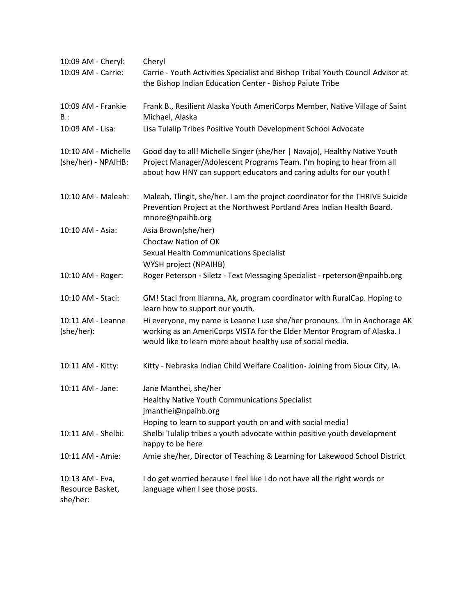| 10:09 AM - Cheryl:                              | Cheryl                                                                                                                                                                                                                     |
|-------------------------------------------------|----------------------------------------------------------------------------------------------------------------------------------------------------------------------------------------------------------------------------|
| 10:09 AM - Carrie:                              | Carrie - Youth Activities Specialist and Bishop Tribal Youth Council Advisor at<br>the Bishop Indian Education Center - Bishop Paiute Tribe                                                                                |
| 10:09 AM - Frankie<br>B:                        | Frank B., Resilient Alaska Youth AmeriCorps Member, Native Village of Saint<br>Michael, Alaska                                                                                                                             |
| 10:09 AM - Lisa:                                | Lisa Tulalip Tribes Positive Youth Development School Advocate                                                                                                                                                             |
| 10:10 AM - Michelle<br>(she/her) - NPAIHB:      | Good day to all! Michelle Singer (she/her   Navajo), Healthy Native Youth<br>Project Manager/Adolescent Programs Team. I'm hoping to hear from all<br>about how HNY can support educators and caring adults for our youth! |
| 10:10 AM - Maleah:                              | Maleah, Tlingit, she/her. I am the project coordinator for the THRIVE Suicide<br>Prevention Project at the Northwest Portland Area Indian Health Board.<br>mnore@npaihb.org                                                |
| 10:10 AM - Asia:                                | Asia Brown(she/her)<br>Choctaw Nation of OK                                                                                                                                                                                |
|                                                 | Sexual Health Communications Specialist<br>WYSH project (NPAIHB)                                                                                                                                                           |
| 10:10 AM - Roger:                               | Roger Peterson - Siletz - Text Messaging Specialist - rpeterson@npaihb.org                                                                                                                                                 |
| 10:10 AM - Staci:                               | GM! Staci from Iliamna, Ak, program coordinator with RuralCap. Hoping to<br>learn how to support our youth.                                                                                                                |
| 10:11 AM - Leanne<br>(she/her):                 | Hi everyone, my name is Leanne I use she/her pronouns. I'm in Anchorage AK<br>working as an AmeriCorps VISTA for the Elder Mentor Program of Alaska. I<br>would like to learn more about healthy use of social media.      |
| 10:11 AM - Kitty:                               | Kitty - Nebraska Indian Child Welfare Coalition- Joining from Sioux City, IA.                                                                                                                                              |
| 10:11 AM - Jane:                                | Jane Manthei, she/her<br><b>Healthy Native Youth Communications Specialist</b><br>jmanthei@npaihb.org<br>Hoping to learn to support youth on and with social media!                                                        |
| 10:11 AM - Shelbi:                              | Shelbi Tulalip tribes a youth advocate within positive youth development<br>happy to be here                                                                                                                               |
| 10:11 AM - Amie:                                | Amie she/her, Director of Teaching & Learning for Lakewood School District                                                                                                                                                 |
| 10:13 AM - Eva,<br>Resource Basket,<br>she/her: | I do get worried because I feel like I do not have all the right words or<br>language when I see those posts.                                                                                                              |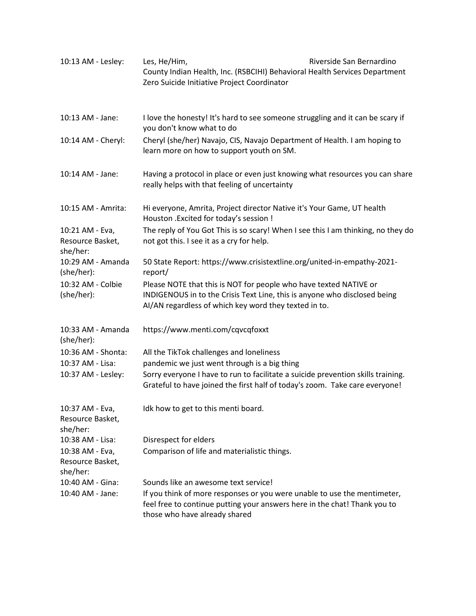| 10:13 AM - Lesley:                              | Riverside San Bernardino<br>Les, He/Him,<br>County Indian Health, Inc. (RSBCIHI) Behavioral Health Services Department<br>Zero Suicide Initiative Project Coordinator                                   |  |
|-------------------------------------------------|---------------------------------------------------------------------------------------------------------------------------------------------------------------------------------------------------------|--|
| 10:13 AM - Jane:                                | I love the honesty! It's hard to see someone struggling and it can be scary if<br>you don't know what to do                                                                                             |  |
| 10:14 AM - Cheryl:                              | Cheryl (she/her) Navajo, CIS, Navajo Department of Health. I am hoping to<br>learn more on how to support youth on SM.                                                                                  |  |
| 10:14 AM - Jane:                                | Having a protocol in place or even just knowing what resources you can share<br>really helps with that feeling of uncertainty                                                                           |  |
| 10:15 AM - Amrita:                              | Hi everyone, Amrita, Project director Native it's Your Game, UT health<br>Houston . Excited for today's session !                                                                                       |  |
| 10:21 AM - Eva,<br>Resource Basket,<br>she/her: | The reply of You Got This is so scary! When I see this I am thinking, no they do<br>not got this. I see it as a cry for help.                                                                           |  |
| 10:29 AM - Amanda<br>(she/her):                 | 50 State Report: https://www.crisistextline.org/united-in-empathy-2021-<br>report/                                                                                                                      |  |
| 10:32 AM - Colbie<br>(she/her):                 | Please NOTE that this is NOT for people who have texted NATIVE or<br>INDIGENOUS in to the Crisis Text Line, this is anyone who disclosed being<br>AI/AN regardless of which key word they texted in to. |  |
| 10:33 AM - Amanda<br>(she/her):                 | https://www.menti.com/cqvcqfoxxt                                                                                                                                                                        |  |
| 10:36 AM - Shonta:                              | All the TikTok challenges and loneliness                                                                                                                                                                |  |
| 10:37 AM - Lisa:                                | pandemic we just went through is a big thing                                                                                                                                                            |  |
| 10:37 AM - Lesley:                              | Sorry everyone I have to run to facilitate a suicide prevention skills training.<br>Grateful to have joined the first half of today's zoom. Take care everyone!                                         |  |
| 10:37 AM - Eva,<br>Resource Basket,<br>she/her: | Idk how to get to this menti board.                                                                                                                                                                     |  |
| 10:38 AM - Lisa:                                | Disrespect for elders                                                                                                                                                                                   |  |
| 10:38 AM - Eva,<br>Resource Basket,<br>she/her: | Comparison of life and materialistic things.                                                                                                                                                            |  |
| 10:40 AM - Gina:                                | Sounds like an awesome text service!                                                                                                                                                                    |  |
| 10:40 AM - Jane:                                | If you think of more responses or you were unable to use the mentimeter,<br>feel free to continue putting your answers here in the chat! Thank you to<br>those who have already shared                  |  |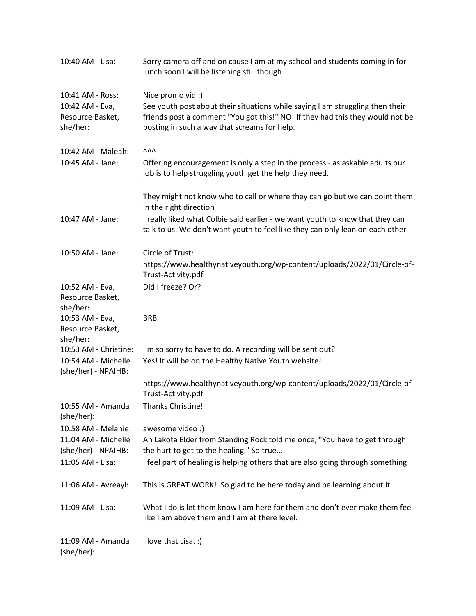| 10:40 AM - Lisa:                           | Sorry camera off and on cause I am at my school and students coming in for<br>lunch soon I will be listening still though                                      |
|--------------------------------------------|----------------------------------------------------------------------------------------------------------------------------------------------------------------|
| 10:41 AM - Ross:                           | Nice promo vid :)                                                                                                                                              |
| 10:42 AM - Eva,                            | See youth post about their situations while saying I am struggling then their                                                                                  |
| Resource Basket,                           | friends post a comment "You got this!" NO! If they had this they would not be                                                                                  |
| she/her:                                   | posting in such a way that screams for help.                                                                                                                   |
| 10:42 AM - Maleah:                         | <b>AAA</b>                                                                                                                                                     |
| 10:45 AM - Jane:                           | Offering encouragement is only a step in the process - as askable adults our<br>job is to help struggling youth get the help they need.                        |
|                                            | They might not know who to call or where they can go but we can point them<br>in the right direction                                                           |
| 10:47 AM - Jane:                           | I really liked what Colbie said earlier - we want youth to know that they can<br>talk to us. We don't want youth to feel like they can only lean on each other |
| 10:50 AM - Jane:                           | Circle of Trust:                                                                                                                                               |
|                                            | https://www.healthynativeyouth.org/wp-content/uploads/2022/01/Circle-of-<br>Trust-Activity.pdf                                                                 |
| 10:52 AM - Eva,                            | Did I freeze? Or?                                                                                                                                              |
| Resource Basket,                           |                                                                                                                                                                |
| she/her:                                   |                                                                                                                                                                |
| 10:53 AM - Eva,                            | <b>BRB</b>                                                                                                                                                     |
| Resource Basket,                           |                                                                                                                                                                |
| she/her:                                   |                                                                                                                                                                |
| 10:53 AM - Christine:                      | I'm so sorry to have to do. A recording will be sent out?                                                                                                      |
| 10:54 AM - Michelle<br>(she/her) - NPAIHB: | Yes! It will be on the Healthy Native Youth website!                                                                                                           |
|                                            | https://www.healthynativeyouth.org/wp-content/uploads/2022/01/Circle-of-<br>Trust-Activity.pdf                                                                 |
| 10:55 AM - Amanda<br>(she/her):            | Thanks Christine!                                                                                                                                              |
| 10:58 AM - Melanie:                        | awesome video :)                                                                                                                                               |
| 11:04 AM - Michelle                        | An Lakota Elder from Standing Rock told me once, "You have to get through                                                                                      |
| (she/her) - NPAIHB:                        | the hurt to get to the healing." So true                                                                                                                       |
| 11:05 AM - Lisa:                           | I feel part of healing is helping others that are also going through something                                                                                 |
| 11:06 AM - Avreayl:                        | This is GREAT WORK! So glad to be here today and be learning about it.                                                                                         |
| 11:09 AM - Lisa:                           | What I do is let them know I am here for them and don't ever make them feel<br>like I am above them and I am at there level.                                   |
| 11:09 AM - Amanda<br>(she/her):            | I love that Lisa. :)                                                                                                                                           |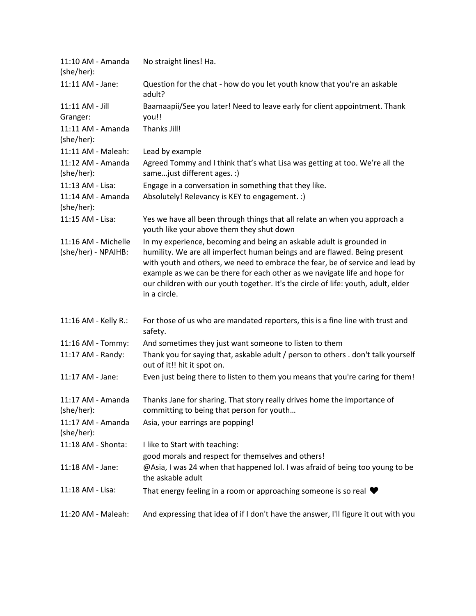| 11:10 AM - Amanda<br>(she/her):            | No straight lines! Ha.                                                                                                                                                                                                                                                                                                                                                                                                 |
|--------------------------------------------|------------------------------------------------------------------------------------------------------------------------------------------------------------------------------------------------------------------------------------------------------------------------------------------------------------------------------------------------------------------------------------------------------------------------|
| 11:11 AM - Jane:                           | Question for the chat - how do you let youth know that you're an askable<br>adult?                                                                                                                                                                                                                                                                                                                                     |
| 11:11 AM - Jill<br>Granger:                | Baamaapii/See you later! Need to leave early for client appointment. Thank<br>you!!                                                                                                                                                                                                                                                                                                                                    |
| 11:11 AM - Amanda<br>(she/her):            | Thanks Jill!                                                                                                                                                                                                                                                                                                                                                                                                           |
| 11:11 AM - Maleah:                         | Lead by example                                                                                                                                                                                                                                                                                                                                                                                                        |
| 11:12 AM - Amanda<br>(she/her):            | Agreed Tommy and I think that's what Lisa was getting at too. We're all the<br>same just different ages. :)                                                                                                                                                                                                                                                                                                            |
| 11:13 AM - Lisa:<br>11:14 AM - Amanda      | Engage in a conversation in something that they like.<br>Absolutely! Relevancy is KEY to engagement. :)                                                                                                                                                                                                                                                                                                                |
| (she/her):                                 |                                                                                                                                                                                                                                                                                                                                                                                                                        |
| 11:15 AM - Lisa:                           | Yes we have all been through things that all relate an when you approach a<br>youth like your above them they shut down                                                                                                                                                                                                                                                                                                |
| 11:16 AM - Michelle<br>(she/her) - NPAIHB: | In my experience, becoming and being an askable adult is grounded in<br>humility. We are all imperfect human beings and are flawed. Being present<br>with youth and others, we need to embrace the fear, be of service and lead by<br>example as we can be there for each other as we navigate life and hope for<br>our children with our youth together. It's the circle of life: youth, adult, elder<br>in a circle. |
| 11:16 AM - Kelly R.:                       | For those of us who are mandated reporters, this is a fine line with trust and<br>safety.                                                                                                                                                                                                                                                                                                                              |
| 11:16 AM - Tommy:                          | And sometimes they just want someone to listen to them                                                                                                                                                                                                                                                                                                                                                                 |
| 11:17 AM - Randy:                          | Thank you for saying that, askable adult / person to others . don't talk yourself<br>out of it!! hit it spot on.                                                                                                                                                                                                                                                                                                       |
| 11:17 AM - Jane:                           | Even just being there to listen to them you means that you're caring for them!                                                                                                                                                                                                                                                                                                                                         |
| 11:17 AM - Amanda<br>(she/her):            | Thanks Jane for sharing. That story really drives home the importance of<br>committing to being that person for youth                                                                                                                                                                                                                                                                                                  |
| 11:17 AM - Amanda<br>(she/her):            | Asia, your earrings are popping!                                                                                                                                                                                                                                                                                                                                                                                       |
| 11:18 AM - Shonta:                         | I like to Start with teaching:<br>good morals and respect for themselves and others!                                                                                                                                                                                                                                                                                                                                   |
| 11:18 AM - Jane:                           | @Asia, I was 24 when that happened lol. I was afraid of being too young to be<br>the askable adult                                                                                                                                                                                                                                                                                                                     |
| 11:18 AM - Lisa:                           | That energy feeling in a room or approaching someone is so real $\blacktriangledown$                                                                                                                                                                                                                                                                                                                                   |
| 11:20 AM - Maleah:                         | And expressing that idea of if I don't have the answer, I'll figure it out with you                                                                                                                                                                                                                                                                                                                                    |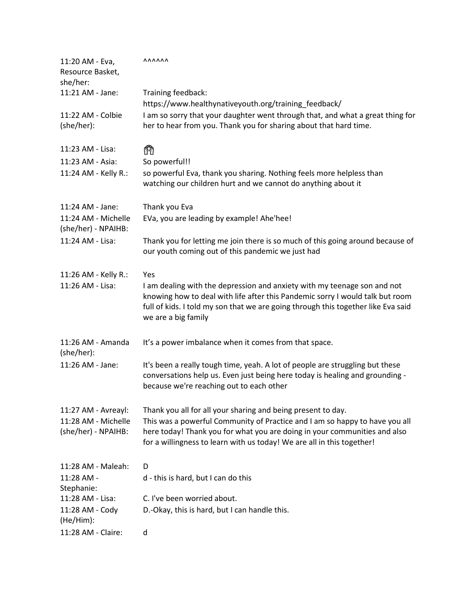| 11:20 AM - Eva,<br>Resource Basket,<br>she/her: | <b>AAAAAA</b>                                                                                                                                                                                                                                                         |
|-------------------------------------------------|-----------------------------------------------------------------------------------------------------------------------------------------------------------------------------------------------------------------------------------------------------------------------|
| 11:21 AM - Jane:                                | Training feedback:<br>https://www.healthynativeyouth.org/training_feedback/                                                                                                                                                                                           |
| 11:22 AM - Colbie<br>(she/her):                 | I am so sorry that your daughter went through that, and what a great thing for<br>her to hear from you. Thank you for sharing about that hard time.                                                                                                                   |
| 11:23 AM - Lisa:                                | ñ                                                                                                                                                                                                                                                                     |
| 11:23 AM - Asia:                                | So powerful!!                                                                                                                                                                                                                                                         |
| 11:24 AM - Kelly R.:                            | so powerful Eva, thank you sharing. Nothing feels more helpless than<br>watching our children hurt and we cannot do anything about it                                                                                                                                 |
| 11:24 AM - Jane:                                | Thank you Eva                                                                                                                                                                                                                                                         |
| 11:24 AM - Michelle<br>(she/her) - NPAIHB:      | EVa, you are leading by example! Ahe'hee!                                                                                                                                                                                                                             |
| 11:24 AM - Lisa:                                | Thank you for letting me join there is so much of this going around because of<br>our youth coming out of this pandemic we just had                                                                                                                                   |
| 11:26 AM - Kelly R.:                            | Yes                                                                                                                                                                                                                                                                   |
| 11:26 AM - Lisa:                                | I am dealing with the depression and anxiety with my teenage son and not<br>knowing how to deal with life after this Pandemic sorry I would talk but room<br>full of kids. I told my son that we are going through this together like Eva said<br>we are a big family |
| 11:26 AM - Amanda<br>(she/her):                 | It's a power imbalance when it comes from that space.                                                                                                                                                                                                                 |
| 11:26 AM - Jane:                                | It's been a really tough time, yeah. A lot of people are struggling but these<br>conversations help us. Even just being here today is healing and grounding -<br>because we're reaching out to each other                                                             |
| 11:27 AM - Avreayl:                             | Thank you all for all your sharing and being present to day.                                                                                                                                                                                                          |
| 11:28 AM - Michelle<br>(she/her) - NPAIHB:      | This was a powerful Community of Practice and I am so happy to have you all<br>here today! Thank you for what you are doing in your communities and also<br>for a willingness to learn with us today! We are all in this together!                                    |
| 11:28 AM - Maleah:                              | D                                                                                                                                                                                                                                                                     |
| 11:28 AM -<br>Stephanie:                        | d - this is hard, but I can do this                                                                                                                                                                                                                                   |
| 11:28 AM - Lisa:                                | C. I've been worried about.                                                                                                                                                                                                                                           |
| 11:28 AM - Cody<br>(He/Him):                    | D.-Okay, this is hard, but I can handle this.                                                                                                                                                                                                                         |
| 11:28 AM - Claire:                              | d                                                                                                                                                                                                                                                                     |